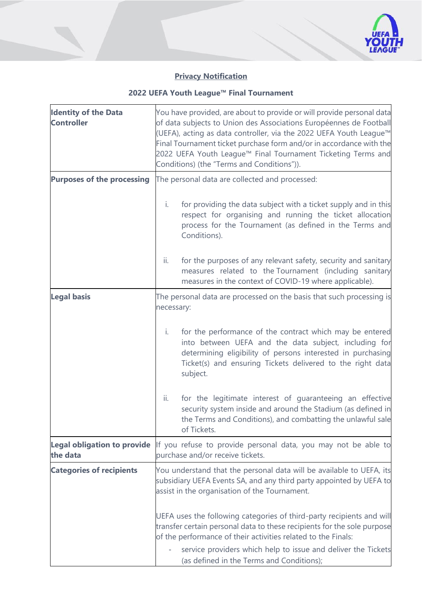

## **Privacy Notification**

## **2022 UEFA Youth League™ Final Tournament**

| <b>Identity of the Data</b><br><b>Controller</b> | You have provided, are about to provide or will provide personal data<br>of data subjects to Union des Associations Européennes de Football<br>(UEFA), acting as data controller, via the 2022 UEFA Youth League™<br>Final Tournament ticket purchase form and/or in accordance with the<br>2022 UEFA Youth League™ Final Tournament Ticketing Terms and<br>Conditions) (the "Terms and Conditions")). |                                                                                                                                                                                                                                                                                                                                 |
|--------------------------------------------------|--------------------------------------------------------------------------------------------------------------------------------------------------------------------------------------------------------------------------------------------------------------------------------------------------------------------------------------------------------------------------------------------------------|---------------------------------------------------------------------------------------------------------------------------------------------------------------------------------------------------------------------------------------------------------------------------------------------------------------------------------|
| <b>Purposes of the processing</b>                | The personal data are collected and processed:                                                                                                                                                                                                                                                                                                                                                         |                                                                                                                                                                                                                                                                                                                                 |
|                                                  | i.                                                                                                                                                                                                                                                                                                                                                                                                     | for providing the data subject with a ticket supply and in this<br>respect for organising and running the ticket allocation<br>process for the Tournament (as defined in the Terms and<br>Conditions).                                                                                                                          |
|                                                  | ii.                                                                                                                                                                                                                                                                                                                                                                                                    | for the purposes of any relevant safety, security and sanitary<br>measures related to the Tournament (including sanitary<br>measures in the context of COVID-19 where applicable).                                                                                                                                              |
| <b>Legal basis</b>                               | necessary:                                                                                                                                                                                                                                                                                                                                                                                             | The personal data are processed on the basis that such processing is                                                                                                                                                                                                                                                            |
|                                                  | i.                                                                                                                                                                                                                                                                                                                                                                                                     | for the performance of the contract which may be entered<br>into between UEFA and the data subject, including for<br>determining eligibility of persons interested in purchasing<br>Ticket(s) and ensuring Tickets delivered to the right data<br>subject.                                                                      |
|                                                  | ii.                                                                                                                                                                                                                                                                                                                                                                                                    | for the legitimate interest of guaranteeing an effective<br>security system inside and around the Stadium (as defined in<br>the Terms and Conditions), and combatting the unlawful sale<br>of Tickets.                                                                                                                          |
| <b>Legal obligation to provide</b><br>the data   | If you refuse to provide personal data, you may not be able to<br>purchase and/or receive tickets.                                                                                                                                                                                                                                                                                                     |                                                                                                                                                                                                                                                                                                                                 |
| <b>Categories of recipients</b>                  |                                                                                                                                                                                                                                                                                                                                                                                                        | You understand that the personal data will be available to UEFA, its<br>subsidiary UEFA Events SA, and any third party appointed by UEFA to<br>assist in the organisation of the Tournament.                                                                                                                                    |
|                                                  |                                                                                                                                                                                                                                                                                                                                                                                                        | UEFA uses the following categories of third-party recipients and will<br>transfer certain personal data to these recipients for the sole purpose<br>of the performance of their activities related to the Finals:<br>service providers which help to issue and deliver the Tickets<br>(as defined in the Terms and Conditions); |